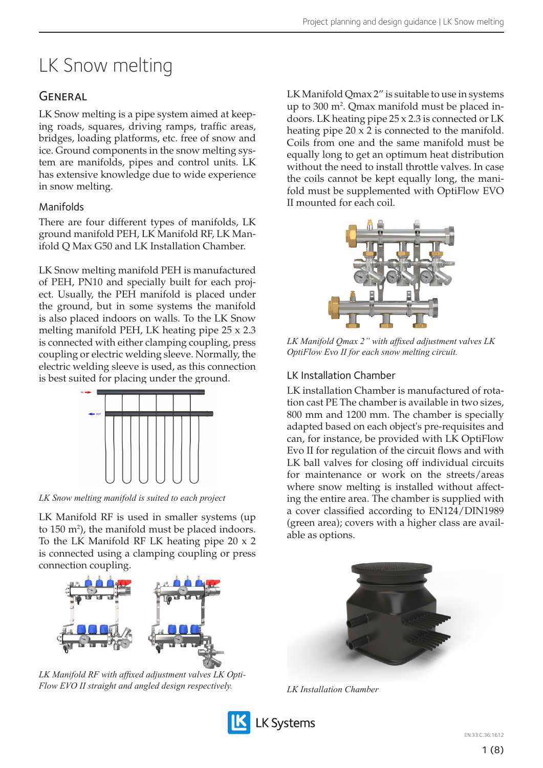# LK Snow melting

# **GENERAL**

LK Snow melting is a pipe system aimed at keeping roads, squares, driving ramps, traffic areas, bridges, loading platforms, etc. free of snow and ice. Ground components in the snow melting system are manifolds, pipes and control units. LK has extensive knowledge due to wide experience in snow melting.

# Manifolds

There are four different types of manifolds, LK ground manifold PEH, LK Manifold RF, LK Manifold Q Max G50 and LK Installation Chamber.

LK Snow melting manifold PEH is manufactured of PEH, PN10 and specially built for each project. Usually, the PEH manifold is placed under the ground, but in some systems the manifold is also placed indoors on walls. To the LK Snow melting manifold PEH, LK heating pipe 25 x 2.3 is connected with either clamping coupling, press coupling or electric welding sleeve. Normally, the electric welding sleeve is used, as this connection is best suited for placing under the ground.



*LK Snow melting manifold is suited to each project*

LK Manifold RF is used in smaller systems (up to  $150 \text{ m}^2$ ), the manifold must be placed indoors. To the LK Manifold RF LK heating pipe 20 x 2 is connected using a clamping coupling or press connection coupling.



*LK Manifold RF with affixed adjustment valves LK Opti-Flow EVO II straight and angled design respectively.*



LK Manifold Qmax 2" is suitable to use in systems up to 300 m<sup>2</sup>. Qmax manifold must be placed indoors. LK heating pipe 25 x 2.3 is connected or LK heating pipe 20 x 2 is connected to the manifold. Coils from one and the same manifold must be equally long to get an optimum heat distribution without the need to install throttle valves. In case the coils cannot be kept equally long, the manifold must be supplemented with OptiFlow EVO II mounted for each coil.



*LK Manifold Qmax 2" with affixed adjustment valves LK OptiFlow Evo II for each snow melting circuit.*

# LK Installation Chamber

LK installation Chamber is manufactured of rotation cast PE The chamber is available in two sizes, 800 mm and 1200 mm. The chamber is specially adapted based on each object's pre-requisites and can, for instance, be provided with LK OptiFlow Evo II for regulation of the circuit flows and with LK ball valves for closing off individual circuits for maintenance or work on the streets/areas where snow melting is installed without affecting the entire area. The chamber is supplied with a cover classified according to EN124/DIN1989 (green area); covers with a higher class are available as options.



*LK Installation Chamber*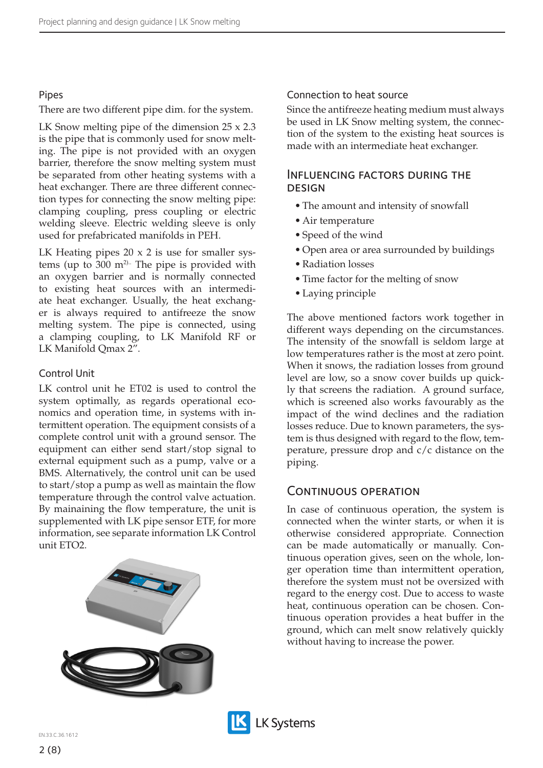### Pipes

#### There are two different pipe dim. for the system.

LK Snow melting pipe of the dimension 25 x 2.3 is the pipe that is commonly used for snow melting. The pipe is not provided with an oxygen barrier, therefore the snow melting system must be separated from other heating systems with a heat exchanger. There are three different connection types for connecting the snow melting pipe: clamping coupling, press coupling or electric welding sleeve. Electric welding sleeve is only used for prefabricated manifolds in PEH.

LK Heating pipes 20 x 2 is use for smaller systems (up to 300 m<sup>2).</sup> The pipe is provided with an oxygen barrier and is normally connected to existing heat sources with an intermediate heat exchanger. Usually, the heat exchanger is always required to antifreeze the snow melting system. The pipe is connected, using a clamping coupling, to LK Manifold RF or LK Manifold Qmax 2".

### Control Unit

LK control unit he ET02 is used to control the system optimally, as regards operational economics and operation time, in systems with intermittent operation. The equipment consists of a complete control unit with a ground sensor. The equipment can either send start/stop signal to external equipment such as a pump, valve or a BMS. Alternatively, the control unit can be used to start/stop a pump as well as maintain the flow temperature through the control valve actuation. By mainaining the flow temperature, the unit is supplemented with LK pipe sensor ETF, for more information, see separate information LK Control unit ETO2.



### Connection to heat source

Since the antifreeze heating medium must always be used in LK Snow melting system, the connection of the system to the existing heat sources is made with an intermediate heat exchanger.

### Influencing factors during the **DESIGN**

- The amount and intensity of snowfall
- Air temperature
- Speed of the wind
- Open area or area surrounded by buildings
- Radiation losses
- Time factor for the melting of snow
- Laying principle

The above mentioned factors work together in different ways depending on the circumstances. The intensity of the snowfall is seldom large at low temperatures rather is the most at zero point. When it snows, the radiation losses from ground level are low, so a snow cover builds up quickly that screens the radiation. A ground surface, which is screened also works favourably as the impact of the wind declines and the radiation losses reduce. Due to known parameters, the system is thus designed with regard to the flow, temperature, pressure drop and c/c distance on the piping.

### CONTINUOUS OPERATION

In case of continuous operation, the system is connected when the winter starts, or when it is otherwise considered appropriate. Connection can be made automatically or manually. Continuous operation gives, seen on the whole, longer operation time than intermittent operation, therefore the system must not be oversized with regard to the energy cost. Due to access to waste heat, continuous operation can be chosen. Continuous operation provides a heat buffer in the ground, which can melt snow relatively quickly without having to increase the power.

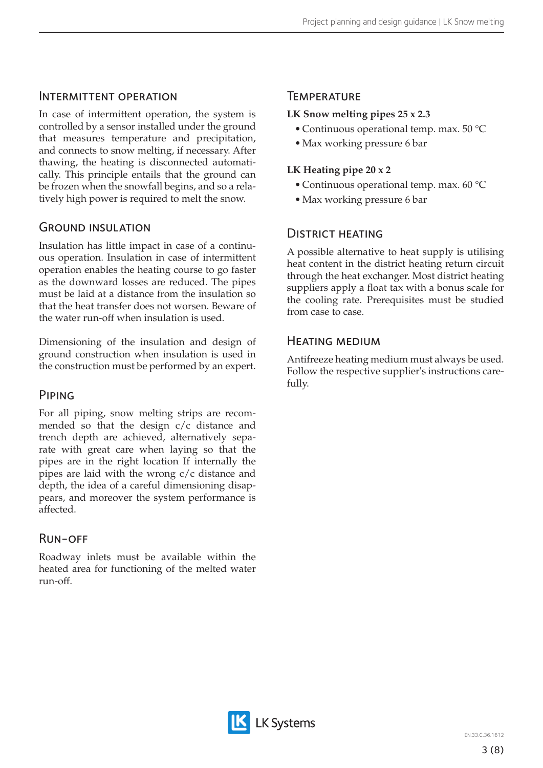### Intermittent operation

In case of intermittent operation, the system is controlled by a sensor installed under the ground that measures temperature and precipitation, and connects to snow melting, if necessary. After thawing, the heating is disconnected automatically. This principle entails that the ground can be frozen when the snowfall begins, and so a relatively high power is required to melt the snow.

## Ground insulation

Insulation has little impact in case of a continuous operation. Insulation in case of intermittent operation enables the heating course to go faster as the downward losses are reduced. The pipes must be laid at a distance from the insulation so that the heat transfer does not worsen. Beware of the water run-off when insulation is used.

Dimensioning of the insulation and design of ground construction when insulation is used in the construction must be performed by an expert.

### Piping

For all piping, snow melting strips are recommended so that the design c/c distance and trench depth are achieved, alternatively separate with great care when laying so that the pipes are in the right location If internally the pipes are laid with the wrong c/c distance and depth, the idea of a careful dimensioning disappears, and moreover the system performance is affected.

# Run-off

Roadway inlets must be available within the heated area for functioning of the melted water run-off.

### **TEMPERATURE**

# **LK Snow melting pipes 25 x 2.3**

- Continuous operational temp. max. 50 °C
- Max working pressure 6 bar

# **LK Heating pipe 20 x 2**

- Continuous operational temp. max. 60 °C
- Max working pressure 6 bar

# District heating

A possible alternative to heat supply is utilising heat content in the district heating return circuit through the heat exchanger. Most district heating suppliers apply a float tax with a bonus scale for the cooling rate. Prerequisites must be studied from case to case.

### Heating medium

Antifreeze heating medium must always be used. Follow the respective supplier's instructions carefully.

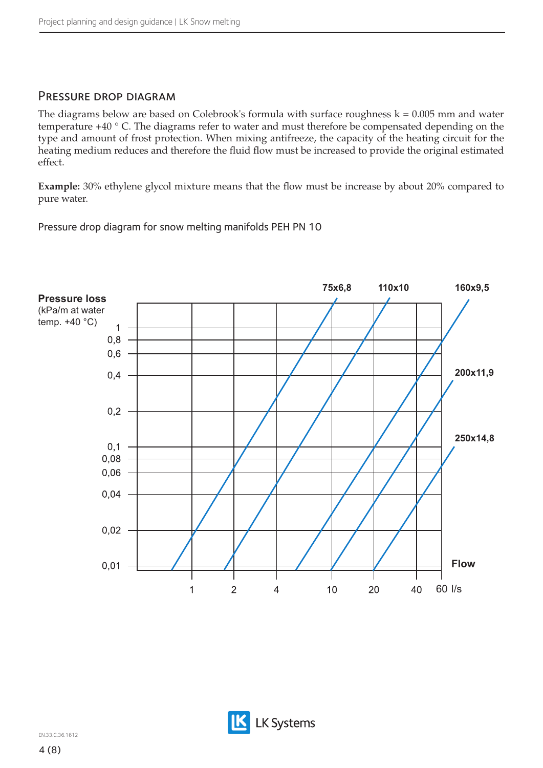### PRESSURE DROP DIAGRAM

The diagrams below are based on Colebrook's formula with surface roughness  $k = 0.005$  mm and water temperature +40 ° C. The diagrams refer to water and must therefore be compensated depending on the type and amount of frost protection. When mixing antifreeze, the capacity of the heating circuit for the heating medium reduces and therefore the fluid flow must be increased to provide the original estimated effect.

**Example:** 30% ethylene glycol mixture means that the flow must be increase by about 20% compared to pure water.

Pressure drop diagram for snow melting manifolds PEH PN 10



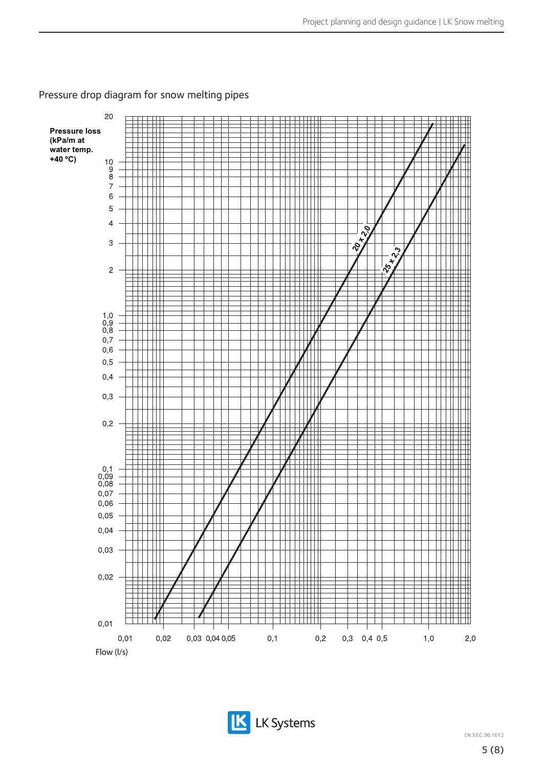

### Pressure drop diagram for snow melting pipes



EN.33.C.36.1612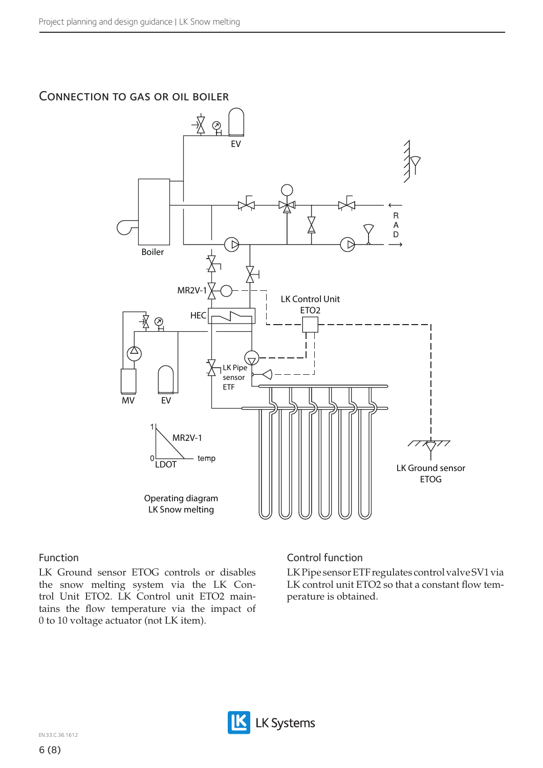# Connection to gas or oil boiler



#### Function

LK Ground sensor ETOG controls or disables the snow melting system via the LK Control Unit ETO2. LK Control unit ETO2 maintains the flow temperature via the impact of 0 to 10 voltage actuator (not LK item).

### Control function

LK Pipe sensor ETF regulates control valve SV1 via LK control unit ETO2 so that a constant flow temperature is obtained.

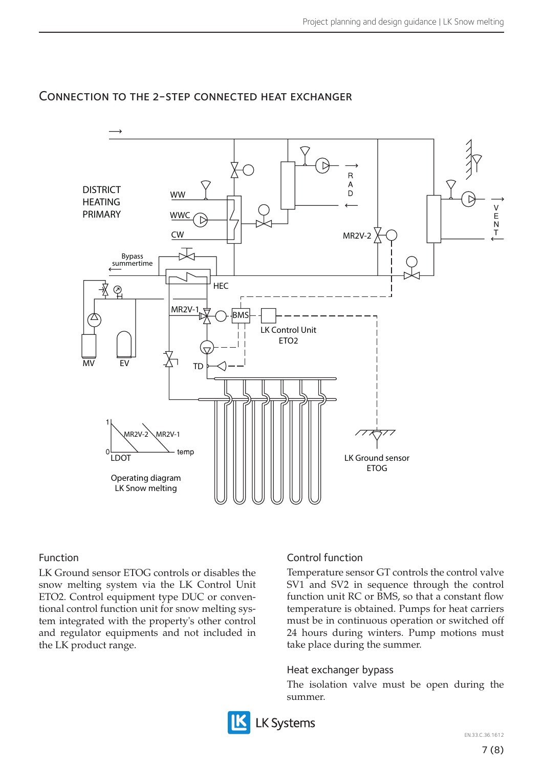

# Connection to the 2-step connected heat exchanger

### Function

LK Ground sensor ETOG controls or disables the snow melting system via the LK Control Unit ETO2. Control equipment type DUC or conventional control function unit for snow melting system integrated with the property's other control and regulator equipments and not included in the LK product range.

### Control function

Temperature sensor GT controls the control valve SV1 and SV2 in sequence through the control function unit RC or BMS, so that a constant flow temperature is obtained. Pumps for heat carriers must be in continuous operation or switched off 24 hours during winters. Pump motions must take place during the summer.

### Heat exchanger bypass

The isolation valve must be open during the summer.